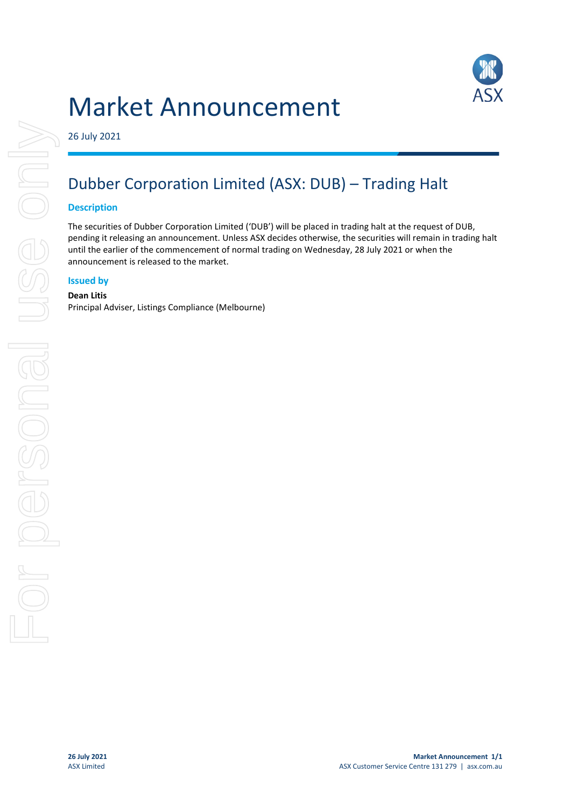# Market Announcement



26 July 2021

## Dubber Corporation Limited (ASX: DUB) – Trading Halt

#### **Description**

The securities of Dubber Corporation Limited ('DUB') will be placed in trading halt at the request of DUB, pending it releasing an announcement. Unless ASX decides otherwise, the securities will remain in trading halt until the earlier of the commencement of normal trading on Wednesday, 28 July 2021 or when the announcement is released to the market.

### **Issued by**

#### **Dean Litis**

Principal Adviser, Listings Compliance (Melbourne)